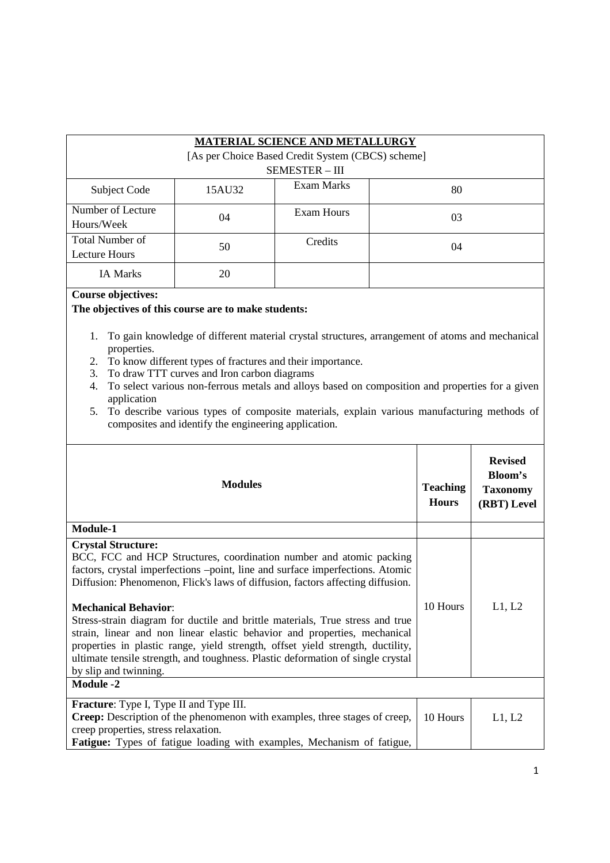|                                                                                   |                                                                                                     | <b>MATERIAL SCIENCE AND METALLURGY</b>                                                                                                                                                                                                                                                                                                                                                                                                                                                                                                                                    |                                 |                                                                    |
|-----------------------------------------------------------------------------------|-----------------------------------------------------------------------------------------------------|---------------------------------------------------------------------------------------------------------------------------------------------------------------------------------------------------------------------------------------------------------------------------------------------------------------------------------------------------------------------------------------------------------------------------------------------------------------------------------------------------------------------------------------------------------------------------|---------------------------------|--------------------------------------------------------------------|
|                                                                                   |                                                                                                     | [As per Choice Based Credit System (CBCS) scheme]<br><b>SEMESTER - III</b>                                                                                                                                                                                                                                                                                                                                                                                                                                                                                                |                                 |                                                                    |
| Subject Code                                                                      | 15AU32                                                                                              | <b>Exam Marks</b>                                                                                                                                                                                                                                                                                                                                                                                                                                                                                                                                                         | 80                              |                                                                    |
| Number of Lecture<br>Hours/Week                                                   | 04                                                                                                  | <b>Exam Hours</b>                                                                                                                                                                                                                                                                                                                                                                                                                                                                                                                                                         | 03                              |                                                                    |
| <b>Total Number of</b><br>Lecture Hours                                           | 50                                                                                                  | Credits                                                                                                                                                                                                                                                                                                                                                                                                                                                                                                                                                                   | 04                              |                                                                    |
| IA Marks                                                                          | 20                                                                                                  |                                                                                                                                                                                                                                                                                                                                                                                                                                                                                                                                                                           |                                 |                                                                    |
| 1.<br>properties.<br>2.<br>3.<br>4.<br>application<br>5.                          | To draw TTT curves and Iron carbon diagrams<br>composites and identify the engineering application. | To gain knowledge of different material crystal structures, arrangement of atoms and mechanical<br>To know different types of fractures and their importance.<br>To select various non-ferrous metals and alloys based on composition and properties for a given<br>To describe various types of composite materials, explain various manufacturing methods of                                                                                                                                                                                                            |                                 |                                                                    |
|                                                                                   | <b>Modules</b>                                                                                      |                                                                                                                                                                                                                                                                                                                                                                                                                                                                                                                                                                           | <b>Teaching</b><br><b>Hours</b> | <b>Revised</b><br><b>Bloom's</b><br><b>Taxonomy</b><br>(RBT) Level |
| Module-1                                                                          |                                                                                                     |                                                                                                                                                                                                                                                                                                                                                                                                                                                                                                                                                                           |                                 |                                                                    |
| <b>Crystal Structure:</b><br><b>Mechanical Behavior:</b><br>by slip and twinning. |                                                                                                     | BCC, FCC and HCP Structures, coordination number and atomic packing<br>factors, crystal imperfections -point, line and surface imperfections. Atomic<br>Diffusion: Phenomenon, Flick's laws of diffusion, factors affecting diffusion.<br>Stress-strain diagram for ductile and brittle materials, True stress and true<br>strain, linear and non linear elastic behavior and properties, mechanical<br>properties in plastic range, yield strength, offset yield strength, ductility,<br>ultimate tensile strength, and toughness. Plastic deformation of single crystal | 10 Hours                        | L1, L2                                                             |
| <b>Module -2</b>                                                                  |                                                                                                     |                                                                                                                                                                                                                                                                                                                                                                                                                                                                                                                                                                           |                                 |                                                                    |
| Fracture: Type I, Type II and Type III.<br>creep properties, stress relaxation.   |                                                                                                     | Creep: Description of the phenomenon with examples, three stages of creep,<br>Fatigue: Types of fatigue loading with examples, Mechanism of fatigue,                                                                                                                                                                                                                                                                                                                                                                                                                      | 10 Hours                        | L1, L2                                                             |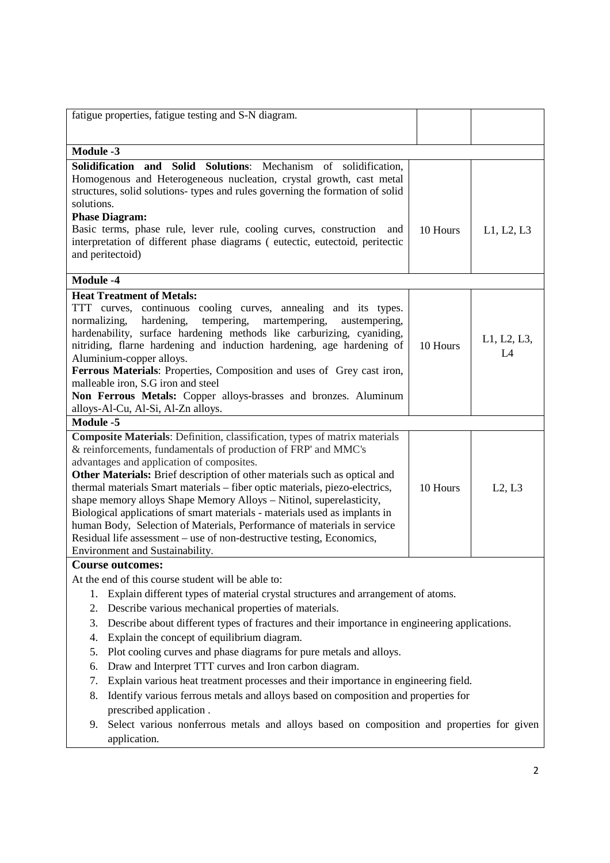| fatigue properties, fatigue testing and S-N diagram.                                                                                                                                                                                                                                                                                                                                                                                                                                                                                                                                                                                                                                                                                                                                                                                      |          |                   |
|-------------------------------------------------------------------------------------------------------------------------------------------------------------------------------------------------------------------------------------------------------------------------------------------------------------------------------------------------------------------------------------------------------------------------------------------------------------------------------------------------------------------------------------------------------------------------------------------------------------------------------------------------------------------------------------------------------------------------------------------------------------------------------------------------------------------------------------------|----------|-------------------|
| <b>Module -3</b>                                                                                                                                                                                                                                                                                                                                                                                                                                                                                                                                                                                                                                                                                                                                                                                                                          |          |                   |
| Solidification and Solid<br>Solutions: Mechanism of solidification,<br>Homogenous and Heterogeneous nucleation, crystal growth, cast metal<br>structures, solid solutions- types and rules governing the formation of solid<br>solutions.<br><b>Phase Diagram:</b><br>Basic terms, phase rule, lever rule, cooling curves, construction<br>and<br>interpretation of different phase diagrams (eutectic, eutectoid, peritectic<br>and peritectoid)                                                                                                                                                                                                                                                                                                                                                                                         | 10 Hours | L1, L2, L3        |
| <b>Module -4</b>                                                                                                                                                                                                                                                                                                                                                                                                                                                                                                                                                                                                                                                                                                                                                                                                                          |          |                   |
| <b>Heat Treatment of Metals:</b><br>TTT curves, continuous cooling curves, annealing and its types.<br>tempering, martempering,<br>normalizing,<br>hardening,<br>austempering,<br>hardenability, surface hardening methods like carburizing, cyaniding,<br>nitriding, flarne hardening and induction hardening, age hardening of<br>Aluminium-copper alloys.<br>Ferrous Materials: Properties, Composition and uses of Grey cast iron,<br>malleable iron, S.G iron and steel<br>Non Ferrous Metals: Copper alloys-brasses and bronzes. Aluminum<br>alloys-Al-Cu, Al-Si, Al-Zn alloys.                                                                                                                                                                                                                                                     | 10 Hours | L1, L2, L3,<br>L4 |
| Module -5                                                                                                                                                                                                                                                                                                                                                                                                                                                                                                                                                                                                                                                                                                                                                                                                                                 |          |                   |
| Composite Materials: Definition, classification, types of matrix materials<br>& reinforcements, fundamentals of production of FRP' and MMC's<br>advantages and application of composites.<br>Other Materials: Brief description of other materials such as optical and<br>thermal materials Smart materials - fiber optic materials, piezo-electrics,<br>shape memory alloys Shape Memory Alloys - Nitinol, superelasticity,<br>Biological applications of smart materials - materials used as implants in<br>human Body, Selection of Materials, Performance of materials in service<br>Residual life assessment - use of non-destructive testing, Economics,<br>Environment and Sustainability.                                                                                                                                         | 10 Hours | L2, L3            |
| <b>Course outcomes:</b>                                                                                                                                                                                                                                                                                                                                                                                                                                                                                                                                                                                                                                                                                                                                                                                                                   |          |                   |
| At the end of this course student will be able to:<br>Explain different types of material crystal structures and arrangement of atoms.<br>1.<br>Describe various mechanical properties of materials.<br>2.<br>Describe about different types of fractures and their importance in engineering applications.<br>3.<br>Explain the concept of equilibrium diagram.<br>4.<br>Plot cooling curves and phase diagrams for pure metals and alloys.<br>5.<br>Draw and Interpret TTT curves and Iron carbon diagram.<br>6.<br>Explain various heat treatment processes and their importance in engineering field.<br>7.<br>Identify various ferrous metals and alloys based on composition and properties for<br>8.<br>prescribed application.<br>Select various nonferrous metals and alloys based on composition and properties for given<br>9. |          |                   |
| application.                                                                                                                                                                                                                                                                                                                                                                                                                                                                                                                                                                                                                                                                                                                                                                                                                              |          |                   |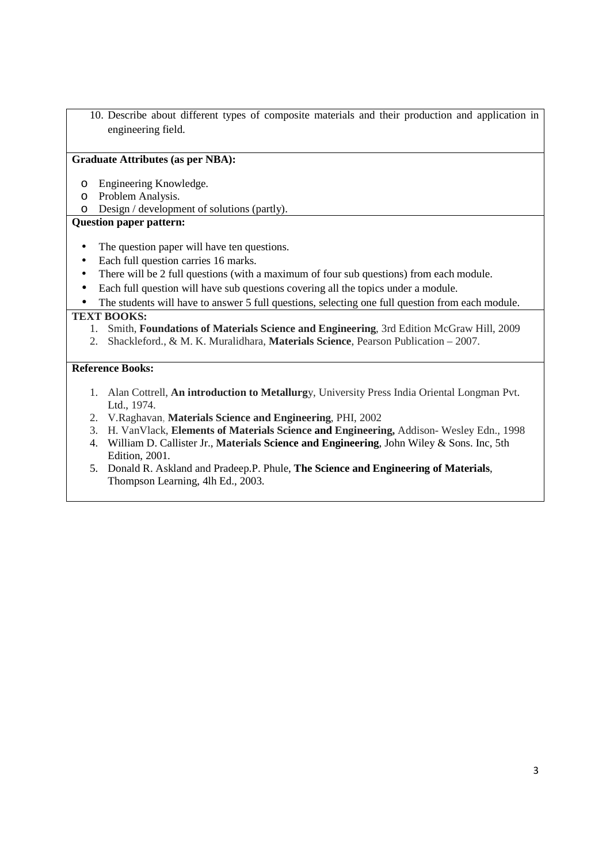10. Describe about different types of composite materials and their production and application in engineering field.

#### **Graduate Attributes (as per NBA):**

- o Engineering Knowledge.
- o Problem Analysis.
- o Design / development of solutions (partly).

### **Question paper pattern:**

- The question paper will have ten questions.
- Each full question carries 16 marks.
- There will be 2 full questions (with a maximum of four sub questions) from each module.
- Each full question will have sub questions covering all the topics under a module.
- The students will have to answer 5 full questions, selecting one full question from each module.

#### **TEXT BOOKS:**

- 1. Smith, **Foundations of Materials Science and Engineering**, 3rd Edition McGraw Hill, 2009
- 2. Shackleford., & M. K. Muralidhara, **Materials Science**, Pearson Publication 2007.

### **Reference Books:**

- 1. Alan Cottrell, **An introduction to Metallurg**y, University Press India Oriental Longman Pvt. Ltd., 1974.
- 2. V.Raghavan, **Materials Science and Engineering**, PHI, 2002
- 3. H. VanVlack, **Elements of Materials Science and Engineering,** Addison- Wesley Edn., 1998
- 4. William D. Callister Jr., **Materials Science and Engineering**, John Wiley & Sons. Inc, 5th Edition, 2001.
- 5. Donald R. Askland and Pradeep.P. Phule, **The Science and Engineering of Materials**, Thompson Learning, 4lh Ed., 2003.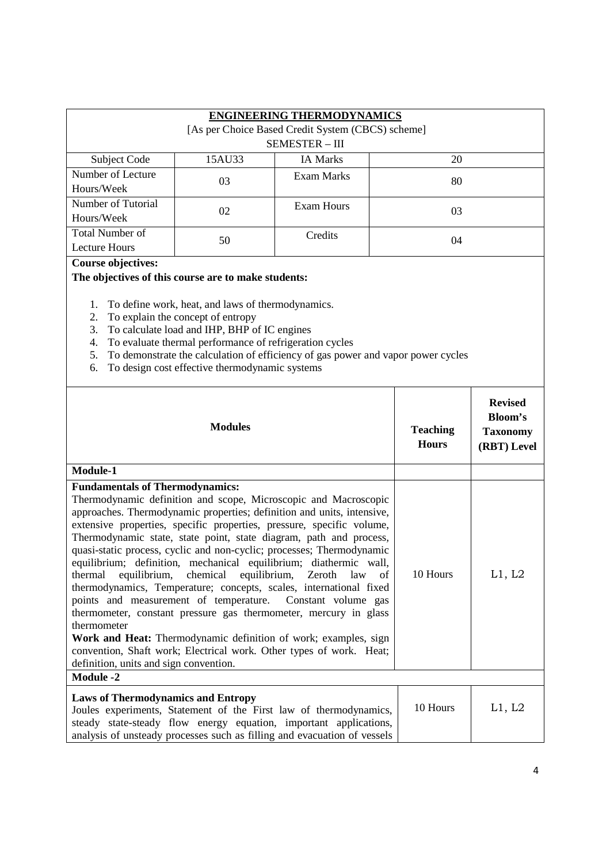|                        |                                                   | <b>ENGINEERING THERMODYNAMICS</b> |    |  |  |  |
|------------------------|---------------------------------------------------|-----------------------------------|----|--|--|--|
|                        | [As per Choice Based Credit System (CBCS) scheme] |                                   |    |  |  |  |
|                        | <b>SEMESTER - III</b>                             |                                   |    |  |  |  |
| Subject Code           | 15AU33                                            | <b>IA Marks</b>                   | 20 |  |  |  |
| Number of Lecture      | 03                                                | Exam Marks                        | 80 |  |  |  |
| Hours/Week             |                                                   |                                   |    |  |  |  |
| Number of Tutorial     | 02                                                | Exam Hours                        | 03 |  |  |  |
| Hours/Week             |                                                   |                                   |    |  |  |  |
| <b>Total Number of</b> | 50                                                | Credits                           | 04 |  |  |  |
| Lecture Hours          |                                                   |                                   |    |  |  |  |

#### **Course objectives:**

### **The objectives of this course are to make students:**

- 1. To define work, heat, and laws of thermodynamics.
- 2. To explain the concept of entropy
- 3. To calculate load and IHP, BHP of IC engines
- 4. To evaluate thermal performance of refrigeration cycles
- 5. To demonstrate the calculation of efficiency of gas power and vapor power cycles
- 6. To design cost effective thermodynamic systems

| <b>Modules</b>                                                                                                                                                                                                                                                                                                                                                                                                                                                                                                                                                                                                                                                                                                                                                                                                                                                                                                                                             | <b>Teaching</b><br><b>Hours</b> | <b>Revised</b><br><b>Bloom's</b><br><b>Taxonomy</b><br>(RBT) Level |
|------------------------------------------------------------------------------------------------------------------------------------------------------------------------------------------------------------------------------------------------------------------------------------------------------------------------------------------------------------------------------------------------------------------------------------------------------------------------------------------------------------------------------------------------------------------------------------------------------------------------------------------------------------------------------------------------------------------------------------------------------------------------------------------------------------------------------------------------------------------------------------------------------------------------------------------------------------|---------------------------------|--------------------------------------------------------------------|
| Module-1                                                                                                                                                                                                                                                                                                                                                                                                                                                                                                                                                                                                                                                                                                                                                                                                                                                                                                                                                   |                                 |                                                                    |
| <b>Fundamentals of Thermodynamics:</b><br>Thermodynamic definition and scope, Microscopic and Macroscopic<br>approaches. Thermodynamic properties; definition and units, intensive,<br>extensive properties, specific properties, pressure, specific volume,<br>Thermodynamic state, state point, state diagram, path and process,<br>quasi-static process, cyclic and non-cyclic; processes; Thermodynamic<br>equilibrium; definition, mechanical equilibrium; diathermic wall,<br>equilibrium, chemical equilibrium, Zeroth law of<br>thermal<br>thermodynamics, Temperature; concepts, scales, international fixed<br>points and measurement of temperature. Constant volume gas<br>thermometer, constant pressure gas thermometer, mercury in glass<br>thermometer<br>Work and Heat: Thermodynamic definition of work; examples, sign<br>convention, Shaft work; Electrical work. Other types of work. Heat;<br>definition, units and sign convention. | 10 Hours                        | L1, L2                                                             |
| <b>Module -2</b>                                                                                                                                                                                                                                                                                                                                                                                                                                                                                                                                                                                                                                                                                                                                                                                                                                                                                                                                           |                                 |                                                                    |
| <b>Laws of Thermodynamics and Entropy</b><br>Joules experiments, Statement of the First law of thermodynamics,<br>steady state-steady flow energy equation, important applications,<br>analysis of unsteady processes such as filling and evacuation of vessels                                                                                                                                                                                                                                                                                                                                                                                                                                                                                                                                                                                                                                                                                            | 10 Hours                        | L1, L2                                                             |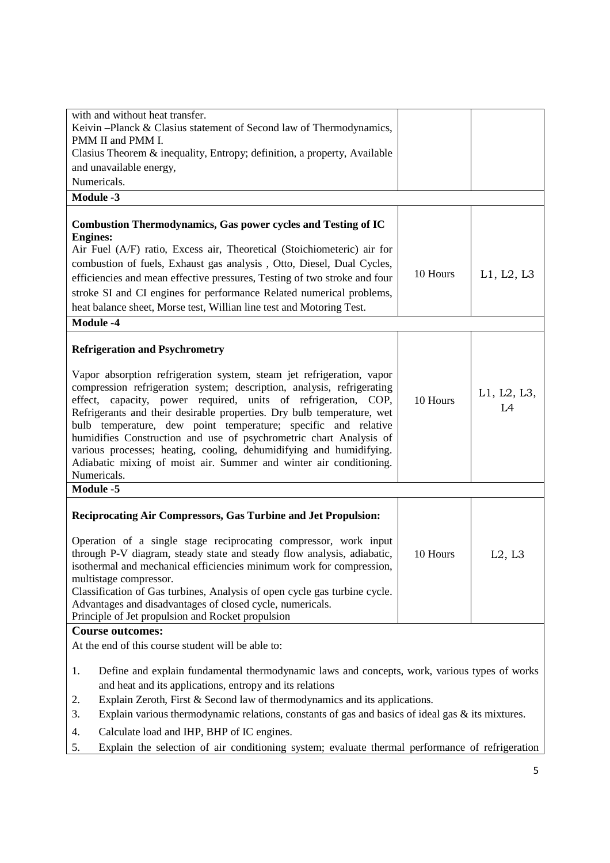| with and without heat transfer.<br>Keivin -Planck & Clasius statement of Second law of Thermodynamics,<br>PMM II and PMM I.<br>Clasius Theorem & inequality, Entropy; definition, a property, Available<br>and unavailable energy,<br>Numericals.                                                                                                                                                                                                                                                                                                                                                                                                            |          |                   |
|--------------------------------------------------------------------------------------------------------------------------------------------------------------------------------------------------------------------------------------------------------------------------------------------------------------------------------------------------------------------------------------------------------------------------------------------------------------------------------------------------------------------------------------------------------------------------------------------------------------------------------------------------------------|----------|-------------------|
| <b>Module -3</b>                                                                                                                                                                                                                                                                                                                                                                                                                                                                                                                                                                                                                                             |          |                   |
| <b>Combustion Thermodynamics, Gas power cycles and Testing of IC</b><br><b>Engines:</b><br>Air Fuel (A/F) ratio, Excess air, Theoretical (Stoichiometeric) air for<br>combustion of fuels, Exhaust gas analysis, Otto, Diesel, Dual Cycles,<br>efficiencies and mean effective pressures, Testing of two stroke and four<br>stroke SI and CI engines for performance Related numerical problems,<br>heat balance sheet, Morse test, Willian line test and Motoring Test.<br><b>Module -4</b>                                                                                                                                                                 | 10 Hours | L1, L2, L3        |
|                                                                                                                                                                                                                                                                                                                                                                                                                                                                                                                                                                                                                                                              |          |                   |
| <b>Refrigeration and Psychrometry</b><br>Vapor absorption refrigeration system, steam jet refrigeration, vapor<br>compression refrigeration system; description, analysis, refrigerating<br>effect, capacity, power required, units of refrigeration, COP,<br>Refrigerants and their desirable properties. Dry bulb temperature, wet<br>bulb temperature, dew point temperature; specific and relative<br>humidifies Construction and use of psychrometric chart Analysis of<br>various processes; heating, cooling, dehumidifying and humidifying.<br>Adiabatic mixing of moist air. Summer and winter air conditioning.<br>Numericals.<br><b>Module -5</b> | 10 Hours | L1, L2, L3,<br>L4 |
|                                                                                                                                                                                                                                                                                                                                                                                                                                                                                                                                                                                                                                                              |          |                   |
| Reciprocating Air Compressors, Gas Turbine and Jet Propulsion:<br>Operation of a single stage reciprocating compressor, work input<br>through P-V diagram, steady state and steady flow analysis, adiabatic,<br>isothermal and mechanical efficiencies minimum work for compression,<br>multistage compressor.<br>Classification of Gas turbines, Analysis of open cycle gas turbine cycle.<br>Advantages and disadvantages of closed cycle, numericals.<br>Principle of Jet propulsion and Rocket propulsion                                                                                                                                                | 10 Hours | L2, L3            |
| <b>Course outcomes:</b>                                                                                                                                                                                                                                                                                                                                                                                                                                                                                                                                                                                                                                      |          |                   |
| At the end of this course student will be able to:<br>Define and explain fundamental thermodynamic laws and concepts, work, various types of works<br>1.<br>and heat and its applications, entropy and its relations<br>Explain Zeroth, First & Second law of thermodynamics and its applications.<br>2.<br>Explain various thermodynamic relations, constants of gas and basics of ideal gas $\&$ its mixtures.<br>3.                                                                                                                                                                                                                                       |          |                   |

- 4. Calculate load and IHP, BHP of IC engines.
- 5. Explain the selection of air conditioning system; evaluate thermal performance of refrigeration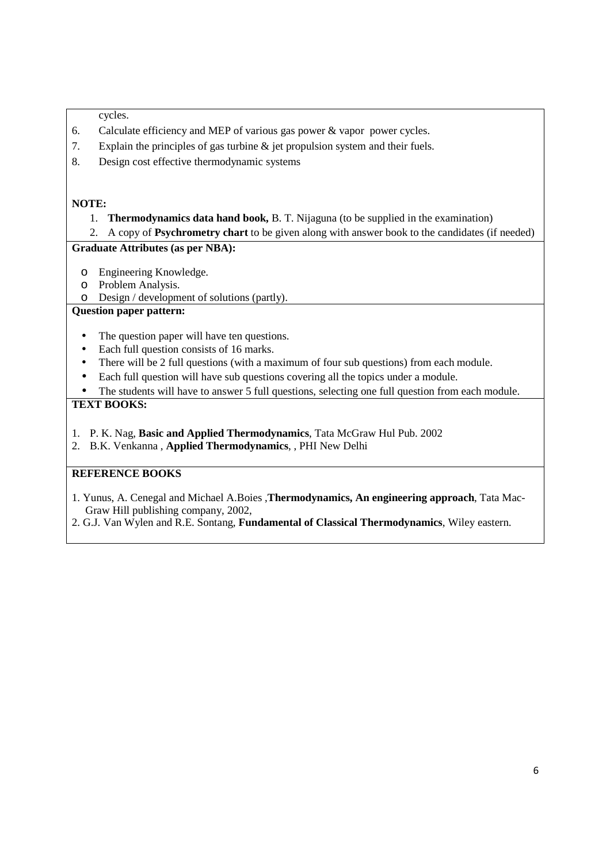cycles.

- 6. Calculate efficiency and MEP of various gas power & vapor power cycles.
- 7. Explain the principles of gas turbine & jet propulsion system and their fuels.
- 8. Design cost effective thermodynamic systems

#### **NOTE:**

1. **Thermodynamics data hand book,** B. T. Nijaguna (to be supplied in the examination)

2. A copy of **Psychrometry chart** to be given along with answer book to the candidates (if needed)

### **Graduate Attributes (as per NBA):**

- o Engineering Knowledge.
- o Problem Analysis.
- o Design / development of solutions (partly).

# **Question paper pattern:**

- The question paper will have ten questions.
- Each full question consists of 16 marks.
- There will be 2 full questions (with a maximum of four sub questions) from each module.
- Each full question will have sub questions covering all the topics under a module.
- The students will have to answer 5 full questions, selecting one full question from each module.

## **TEXT BOOKS:**

- 1. P. K. Nag, **Basic and Applied Thermodynamics**, Tata McGraw Hul Pub. 2002
- 2. B.K. Venkanna , **Applied Thermodynamics**, , PHI New Delhi

- 1. Yunus, A. Cenegal and Michael A.Boies ,**Thermodynamics, An engineering approach**, Tata Mac-Graw Hill publishing company, 2002,
- 2. G.J. Van Wylen and R.E. Sontang, **Fundamental of Classical Thermodynamics**, Wiley eastern.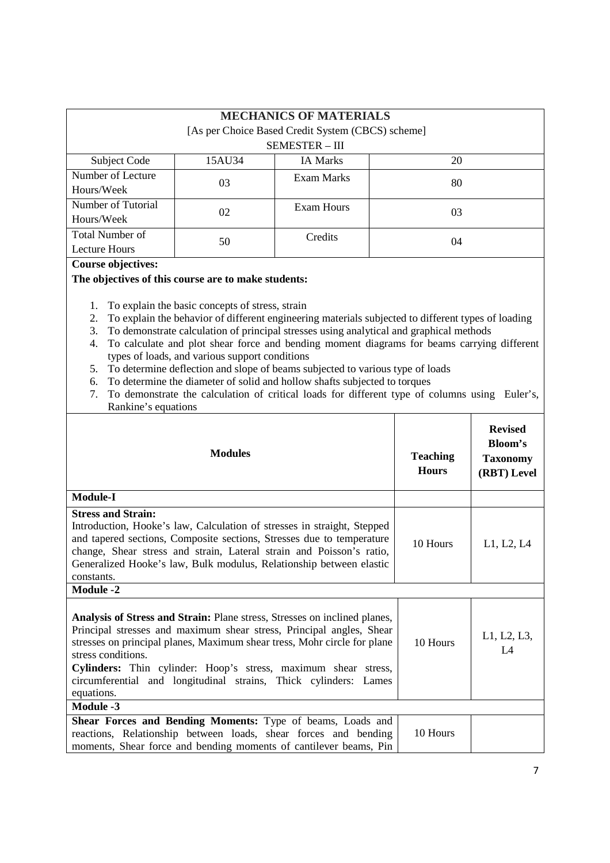|                    |        | <b>MECHANICS OF MATERIALS</b><br>[As per Choice Based Credit System (CBCS) scheme] |    |
|--------------------|--------|------------------------------------------------------------------------------------|----|
|                    |        |                                                                                    |    |
|                    |        | <b>SEMESTER - III</b>                                                              |    |
| Subject Code       | 15AU34 | <b>IA Marks</b>                                                                    | 20 |
| Number of Lecture  | 03     | Exam Marks                                                                         | 80 |
| Hours/Week         |        |                                                                                    |    |
| Number of Tutorial | 02     | Exam Hours                                                                         | 03 |
| Hours/Week         |        |                                                                                    |    |
| Total Number of    | 50     | Credits                                                                            | 04 |
| Lecture Hours      |        |                                                                                    |    |

### **Course objectives:**

#### **The objectives of this course are to make students:**

- 1. To explain the basic concepts of stress, strain
- 2. To explain the behavior of different engineering materials subjected to different types of loading
- 3. To demonstrate calculation of principal stresses using analytical and graphical methods
- 4. To calculate and plot shear force and bending moment diagrams for beams carrying different types of loads, and various support conditions
- 5. To determine deflection and slope of beams subjected to various type of loads
- 6. To determine the diameter of solid and hollow shafts subjected to torques
- 7. To demonstrate the calculation of critical loads for different type of columns using Euler's, Rankine's equations

| <b>Modules</b>                                                                                                                                                                                                                                                                                                                                                                                          | <b>Teaching</b><br><b>Hours</b> | <b>Revised</b><br>Bloom's<br><b>Taxonomy</b><br>(RBT) Level |
|---------------------------------------------------------------------------------------------------------------------------------------------------------------------------------------------------------------------------------------------------------------------------------------------------------------------------------------------------------------------------------------------------------|---------------------------------|-------------------------------------------------------------|
| <b>Module-I</b>                                                                                                                                                                                                                                                                                                                                                                                         |                                 |                                                             |
| <b>Stress and Strain:</b><br>Introduction, Hooke's law, Calculation of stresses in straight, Stepped<br>and tapered sections, Composite sections, Stresses due to temperature<br>change, Shear stress and strain, Lateral strain and Poisson's ratio,<br>Generalized Hooke's law, Bulk modulus, Relationship between elastic<br>constants.                                                              | 10 Hours                        | L1, L2, L4                                                  |
| <b>Module -2</b>                                                                                                                                                                                                                                                                                                                                                                                        |                                 |                                                             |
| Analysis of Stress and Strain: Plane stress, Stresses on inclined planes,<br>Principal stresses and maximum shear stress, Principal angles, Shear<br>stresses on principal planes, Maximum shear tress, Mohr circle for plane<br>stress conditions.<br>Cylinders: Thin cylinder: Hoop's stress, maximum shear stress,<br>circumferential and longitudinal strains, Thick cylinders: Lames<br>equations. | 10 Hours                        | L1, L2, L3,<br>IA                                           |
| Module -3                                                                                                                                                                                                                                                                                                                                                                                               |                                 |                                                             |
| Shear Forces and Bending Moments: Type of beams, Loads and<br>reactions, Relationship between loads, shear forces and bending<br>moments, Shear force and bending moments of cantilever beams, Pin                                                                                                                                                                                                      | 10 Hours                        |                                                             |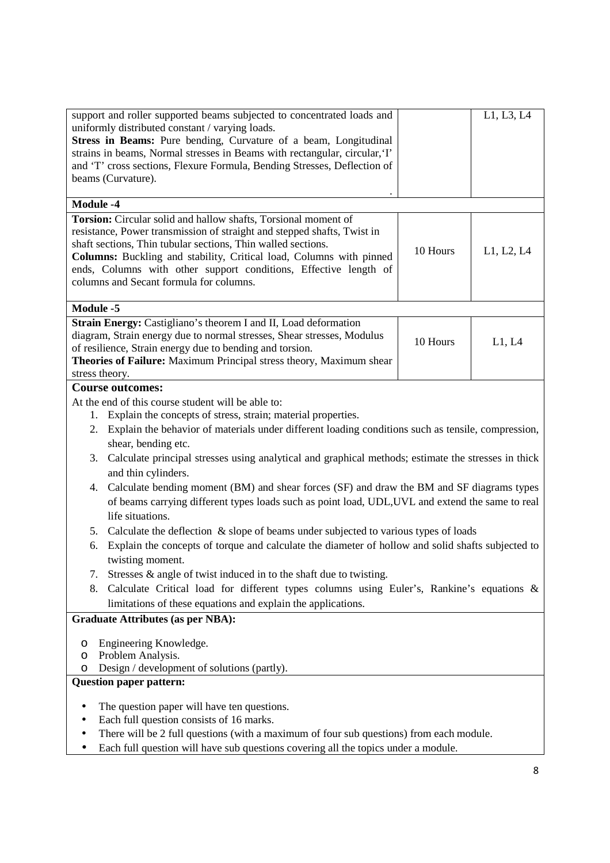| L1, L3, L4<br>support and roller supported beams subjected to concentrated loads and<br>uniformly distributed constant / varying loads.<br>Stress in Beams: Pure bending, Curvature of a beam, Longitudinal |  |  |  |
|-------------------------------------------------------------------------------------------------------------------------------------------------------------------------------------------------------------|--|--|--|
|                                                                                                                                                                                                             |  |  |  |
|                                                                                                                                                                                                             |  |  |  |
|                                                                                                                                                                                                             |  |  |  |
| strains in beams, Normal stresses in Beams with rectangular, circular, 'I'<br>and 'T' cross sections, Flexure Formula, Bending Stresses, Deflection of                                                      |  |  |  |
| beams (Curvature).                                                                                                                                                                                          |  |  |  |
|                                                                                                                                                                                                             |  |  |  |
| <b>Module -4</b>                                                                                                                                                                                            |  |  |  |
| Torsion: Circular solid and hallow shafts, Torsional moment of                                                                                                                                              |  |  |  |
| resistance, Power transmission of straight and stepped shafts, Twist in<br>shaft sections, Thin tubular sections, Thin walled sections.                                                                     |  |  |  |
| 10 Hours<br>L1, L2, L4<br>Columns: Buckling and stability, Critical load, Columns with pinned                                                                                                               |  |  |  |
| ends, Columns with other support conditions, Effective length of                                                                                                                                            |  |  |  |
| columns and Secant formula for columns.                                                                                                                                                                     |  |  |  |
|                                                                                                                                                                                                             |  |  |  |
| <b>Module -5</b>                                                                                                                                                                                            |  |  |  |
| Strain Energy: Castigliano's theorem I and II, Load deformation                                                                                                                                             |  |  |  |
| diagram, Strain energy due to normal stresses, Shear stresses, Modulus<br>10 Hours<br>L1, L4<br>of resilience, Strain energy due to bending and torsion.                                                    |  |  |  |
| Theories of Failure: Maximum Principal stress theory, Maximum shear                                                                                                                                         |  |  |  |
| stress theory.                                                                                                                                                                                              |  |  |  |
| <b>Course outcomes:</b>                                                                                                                                                                                     |  |  |  |
| At the end of this course student will be able to:                                                                                                                                                          |  |  |  |
| Explain the concepts of stress, strain; material properties.<br>1.                                                                                                                                          |  |  |  |
| Explain the behavior of materials under different loading conditions such as tensile, compression,<br>2.                                                                                                    |  |  |  |
| shear, bending etc.                                                                                                                                                                                         |  |  |  |
| Calculate principal stresses using analytical and graphical methods; estimate the stresses in thick<br>3.                                                                                                   |  |  |  |
| and thin cylinders.                                                                                                                                                                                         |  |  |  |
| Calculate bending moment (BM) and shear forces (SF) and draw the BM and SF diagrams types<br>4.                                                                                                             |  |  |  |
| of beams carrying different types loads such as point load, UDL, UVL and extend the same to real                                                                                                            |  |  |  |
| life situations.                                                                                                                                                                                            |  |  |  |
| Calculate the deflection & slope of beams under subjected to various types of loads<br>5.                                                                                                                   |  |  |  |
| Explain the concepts of torque and calculate the diameter of hollow and solid shafts subjected to<br>6.                                                                                                     |  |  |  |
| twisting moment.                                                                                                                                                                                            |  |  |  |
| Stresses $\&$ angle of twist induced in to the shaft due to twisting.<br>7.                                                                                                                                 |  |  |  |
| Calculate Critical load for different types columns using Euler's, Rankine's equations &<br>8.                                                                                                              |  |  |  |
| limitations of these equations and explain the applications.                                                                                                                                                |  |  |  |
| <b>Graduate Attributes (as per NBA):</b>                                                                                                                                                                    |  |  |  |
| Engineering Knowledge.<br>O                                                                                                                                                                                 |  |  |  |
| Problem Analysis.<br>O                                                                                                                                                                                      |  |  |  |
| Design / development of solutions (partly).<br>O                                                                                                                                                            |  |  |  |
| <b>Question paper pattern:</b>                                                                                                                                                                              |  |  |  |
| $\bullet$                                                                                                                                                                                                   |  |  |  |
| The question paper will have ten questions.<br>Each full question consists of 16 marks.                                                                                                                     |  |  |  |
| There will be 2 full questions (with a maximum of four sub questions) from each module.                                                                                                                     |  |  |  |
| Each full question will have sub questions covering all the topics under a module.<br>٠                                                                                                                     |  |  |  |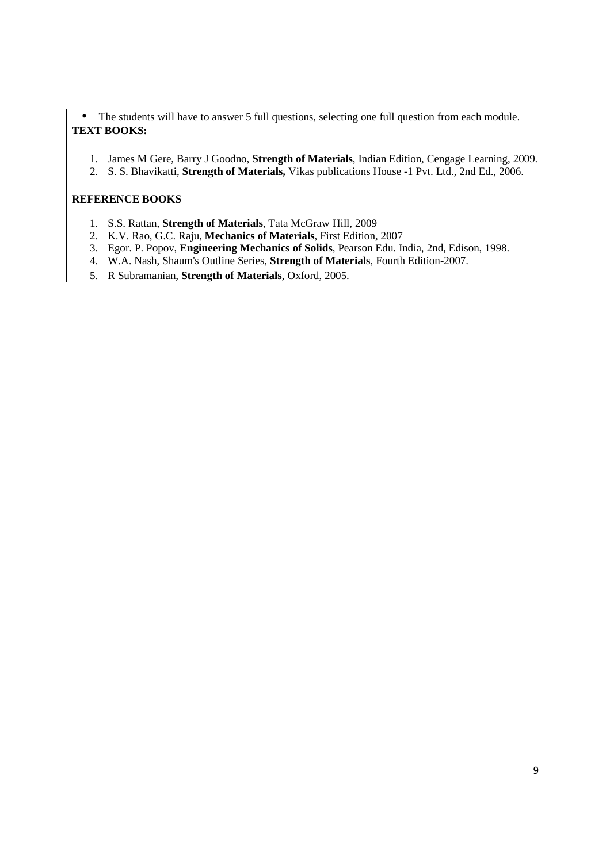• The students will have to answer 5 full questions, selecting one full question from each module. **TEXT BOOKS:**

- 1. James M Gere, Barry J Goodno, **Strength of Materials**, Indian Edition, Cengage Learning, 2009.
- 2. S. S. Bhavikatti, **Strength of Materials,** Vikas publications House -1 Pvt. Ltd., 2nd Ed., 2006.

- 1. S.S. Rattan, **Strength of Materials**, Tata McGraw Hill, 2009
- 2. K.V. Rao, G.C. Raju, **Mechanics of Materials**, First Edition, 2007
- 3. Egor. P. Popov, **Engineering Mechanics of Solids**, Pearson Edu. India, 2nd, Edison, 1998.
- 4. W.A. Nash, Shaum's Outline Series, **Strength of Materials**, Fourth Edition-2007.
- 5. R Subramanian, **Strength of Materials**, Oxford, 2005.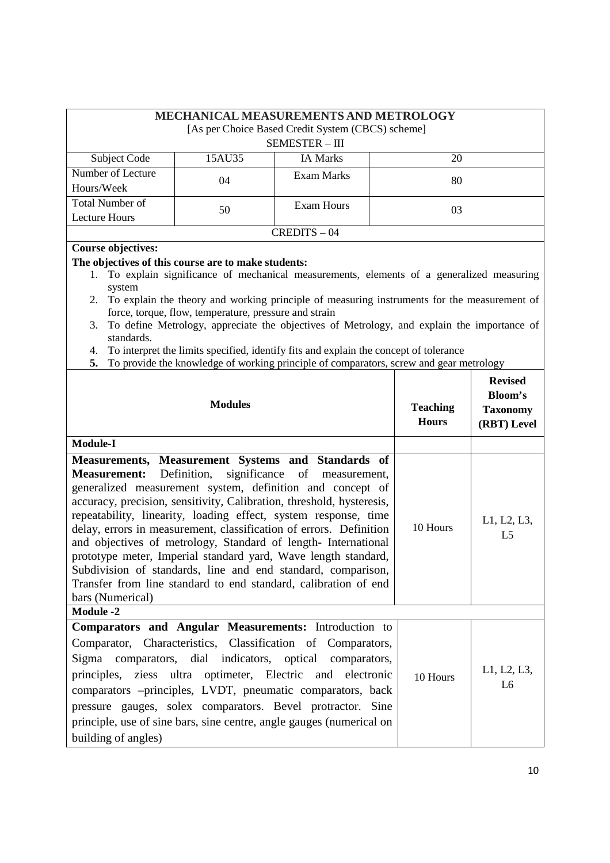|                                                                                                                                  |                                                       | <b>MECHANICAL MEASUREMENTS AND METROLOGY</b><br>[As per Choice Based Credit System (CBCS) scheme]<br><b>SEMESTER - III</b>                                                                                                                                                                                                                                                                                                                                                 |                                 |                                                                    |
|----------------------------------------------------------------------------------------------------------------------------------|-------------------------------------------------------|----------------------------------------------------------------------------------------------------------------------------------------------------------------------------------------------------------------------------------------------------------------------------------------------------------------------------------------------------------------------------------------------------------------------------------------------------------------------------|---------------------------------|--------------------------------------------------------------------|
| Subject Code                                                                                                                     | 15AU35                                                | <b>IA Marks</b>                                                                                                                                                                                                                                                                                                                                                                                                                                                            | 20                              |                                                                    |
| Number of Lecture<br>Hours/Week                                                                                                  | 04                                                    | <b>Exam Marks</b>                                                                                                                                                                                                                                                                                                                                                                                                                                                          | 80                              |                                                                    |
| <b>Total Number of</b><br><b>Lecture Hours</b>                                                                                   | 50                                                    | <b>Exam Hours</b>                                                                                                                                                                                                                                                                                                                                                                                                                                                          | 03                              |                                                                    |
|                                                                                                                                  |                                                       | $CREDITS - 04$                                                                                                                                                                                                                                                                                                                                                                                                                                                             |                                 |                                                                    |
| <b>Course objectives:</b><br>The objectives of this course are to make students:<br>system<br>2.<br>3.<br>standards.<br>4.<br>5. | force, torque, flow, temperature, pressure and strain | 1. To explain significance of mechanical measurements, elements of a generalized measuring<br>To explain the theory and working principle of measuring instruments for the measurement of<br>To define Metrology, appreciate the objectives of Metrology, and explain the importance of<br>To interpret the limits specified, identify fits and explain the concept of tolerance<br>To provide the knowledge of working principle of comparators, screw and gear metrology |                                 |                                                                    |
| <b>Module-I</b>                                                                                                                  | <b>Modules</b>                                        |                                                                                                                                                                                                                                                                                                                                                                                                                                                                            | <b>Teaching</b><br><b>Hours</b> | <b>Revised</b><br><b>Bloom's</b><br><b>Taxonomy</b><br>(RBT) Level |
| Measurement:                                                                                                                     | Definition.<br>significance of                        | Measurements, Measurement Systems and Standards of<br>measurement                                                                                                                                                                                                                                                                                                                                                                                                          |                                 |                                                                    |

| <b>Measurement:</b> Definition, significance of measurement,<br>generalized measurement system, definition and concept of<br>accuracy, precision, sensitivity, Calibration, threshold, hysteresis,<br>repeatability, linearity, loading effect, system response, time<br>delay, errors in measurement, classification of errors. Definition<br>and objectives of metrology, Standard of length-International<br>prototype meter, Imperial standard yard, Wave length standard,<br>Subdivision of standards, line and end standard, comparison,<br>Transfer from line standard to end standard, calibration of end<br>bars (Numerical)<br><b>Module -2</b> | 10 Hours | L1, L2, L3,<br>L <sub>5</sub> |
|-----------------------------------------------------------------------------------------------------------------------------------------------------------------------------------------------------------------------------------------------------------------------------------------------------------------------------------------------------------------------------------------------------------------------------------------------------------------------------------------------------------------------------------------------------------------------------------------------------------------------------------------------------------|----------|-------------------------------|
| <b>Comparators and Angular Measurements:</b> Introduction to<br>Comparator, Characteristics, Classification of Comparators,<br>Sigma comparators, dial indicators, optical comparators,<br>principles, ziess ultra optimeter, Electric and electronic<br>comparators – principles, LVDT, pneumatic comparators, back<br>pressure gauges, solex comparators. Bevel protractor. Sine<br>principle, use of sine bars, sine centre, angle gauges (numerical on<br>building of angles)                                                                                                                                                                         | 10 Hours | L1, L2, L3,<br>L <sub>6</sub> |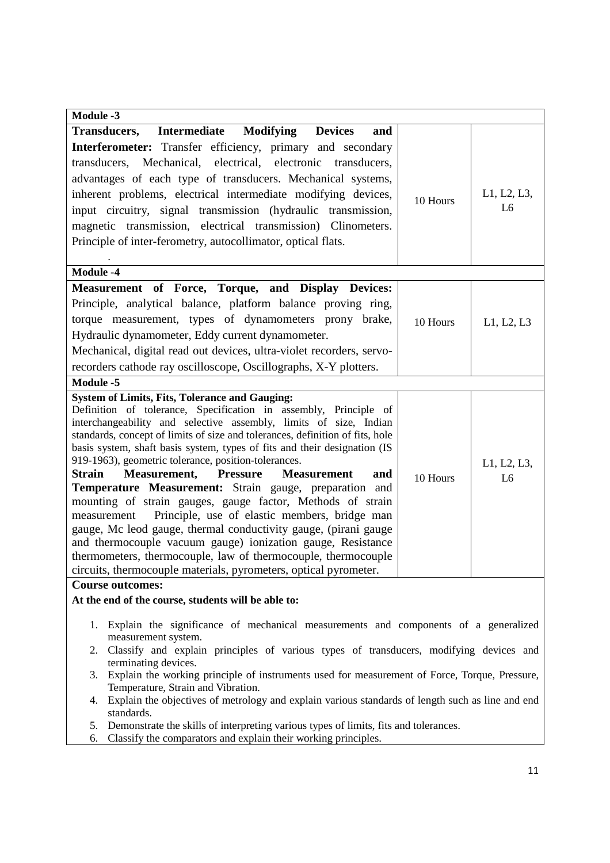| <b>Module -3</b>                                                                                                            |          |                |
|-----------------------------------------------------------------------------------------------------------------------------|----------|----------------|
| <b>Transducers,</b><br>Intermediate<br><b>Modifying</b><br><b>Devices</b><br>and                                            |          |                |
| Interferometer: Transfer efficiency, primary and secondary                                                                  |          |                |
| transducers, Mechanical, electrical, electronic transducers,                                                                |          |                |
| advantages of each type of transducers. Mechanical systems,                                                                 |          |                |
| inherent problems, electrical intermediate modifying devices,                                                               |          | L1, L2, L3,    |
| input circuitry, signal transmission (hydraulic transmission,                                                               | 10 Hours | L <sub>6</sub> |
| magnetic transmission, electrical transmission) Clinometers.                                                                |          |                |
| Principle of inter-ferometry, autocollimator, optical flats.                                                                |          |                |
|                                                                                                                             |          |                |
| <b>Module -4</b>                                                                                                            |          |                |
| Measurement of Force, Torque, and Display Devices:                                                                          |          |                |
| Principle, analytical balance, platform balance proving ring,                                                               |          |                |
| torque measurement, types of dynamometers prony brake,                                                                      | 10 Hours |                |
| Hydraulic dynamometer, Eddy current dynamometer.                                                                            |          | L1, L2, L3     |
| Mechanical, digital read out devices, ultra-violet recorders, servo-                                                        |          |                |
| recorders cathode ray oscilloscope, Oscillographs, X-Y plotters.                                                            |          |                |
| Module -5                                                                                                                   |          |                |
| <b>System of Limits, Fits, Tolerance and Gauging:</b>                                                                       |          |                |
| Definition of tolerance, Specification in assembly, Principle of                                                            |          |                |
| interchangeability and selective assembly, limits of size, Indian                                                           |          |                |
| standards, concept of limits of size and tolerances, definition of fits, hole                                               |          |                |
| basis system, shaft basis system, types of fits and their designation (IS                                                   |          |                |
| 919-1963), geometric tolerance, position-tolerances.                                                                        |          | L1, L2, L3,    |
| <b>Strain</b><br><b>Measurement, Pressure</b><br><b>Measurement</b><br>and                                                  | 10 Hours | L <sub>6</sub> |
| Temperature Measurement: Strain gauge, preparation and                                                                      |          |                |
| mounting of strain gauges, gauge factor, Methods of strain                                                                  |          |                |
| Principle, use of elastic members, bridge man<br>measurement                                                                |          |                |
| gauge, Mc leod gauge, thermal conductivity gauge, (pirani gauge                                                             |          |                |
| and thermocouple vacuum gauge) ionization gauge, Resistance                                                                 |          |                |
| thermometers, thermocouple, law of thermocouple, thermocouple                                                               |          |                |
| circuits, thermocouple materials, pyrometers, optical pyrometer.                                                            |          |                |
| <b>Course outcomes:</b><br>At the end of the course, students will be able to:                                              |          |                |
|                                                                                                                             |          |                |
| Explain the significance of mechanical measurements and components of a generalized<br>1.                                   |          |                |
| measurement system.                                                                                                         |          |                |
| Classify and explain principles of various types of transducers, modifying devices and<br>2.                                |          |                |
| terminating devices.<br>Explain the working principle of instruments used for measurement of Force, Torque, Pressure,<br>3. |          |                |
| Temperature, Strain and Vibration.                                                                                          |          |                |
| Explain the objectives of metrology and explain various standards of length such as line and end<br>4.<br>standards.        |          |                |
| Demonstrate the skills of interpreting various types of limits, fits and tolerances.<br>5.                                  |          |                |
| Classify the comparators and explain their working principles.<br>6.                                                        |          |                |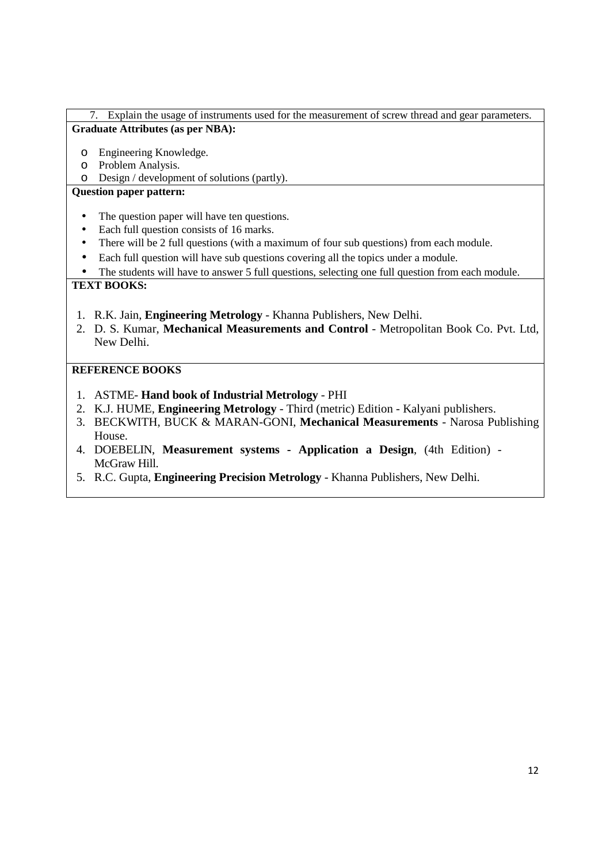### 7. Explain the usage of instruments used for the measurement of screw thread and gear parameters. **Graduate Attributes (as per NBA):**

- o Engineering Knowledge.
- o Problem Analysis.
- o Design / development of solutions (partly).

## **Question paper pattern:**

- The question paper will have ten questions.
- Each full question consists of 16 marks.
- There will be 2 full questions (with a maximum of four sub questions) from each module.
- Each full question will have sub questions covering all the topics under a module.
- The students will have to answer 5 full questions, selecting one full question from each module.

### **TEXT BOOKS:**

- 1. R.K. Jain, **Engineering Metrology**  Khanna Publishers, New Delhi.
- 2. D. S. Kumar, **Mechanical Measurements and Control** Metropolitan Book Co. Pvt. Ltd, New Delhi.

- 1. ASTME- **Hand book of Industrial Metrology** PHI
- 2. K.J. HUME, **Engineering Metrology** Third (metric) Edition Kalyani publishers.
- 3. BECKWITH, BUCK & MARAN-GONI, **Mechanical Measurements** Narosa Publishing House.
- 4. DOEBELIN, **Measurement systems Application a Design**, (4th Edition) McGraw Hill.
- 5. R.C. Gupta, **Engineering Precision Metrology** Khanna Publishers, New Delhi.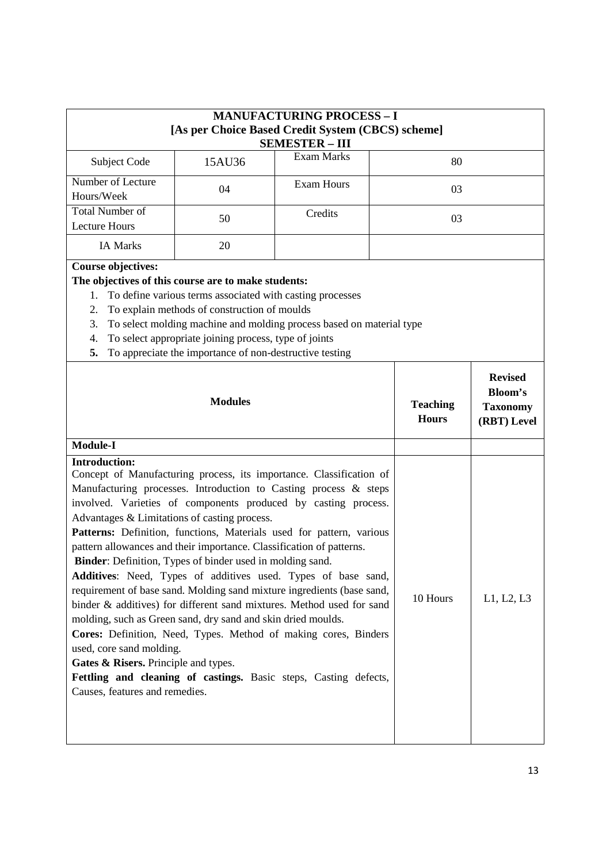| 80                                                                                                      |                                                                    |  |  |
|---------------------------------------------------------------------------------------------------------|--------------------------------------------------------------------|--|--|
|                                                                                                         |                                                                    |  |  |
| 03                                                                                                      |                                                                    |  |  |
| 03                                                                                                      |                                                                    |  |  |
|                                                                                                         |                                                                    |  |  |
| To select molding machine and molding process based on material type<br><b>Teaching</b><br><b>Hours</b> | <b>Revised</b><br><b>Bloom's</b><br><b>Taxonomy</b><br>(RBT) Level |  |  |
|                                                                                                         |                                                                    |  |  |
|                                                                                                         |                                                                    |  |  |
|                                                                                                         |                                                                    |  |  |

molding, such as Green sand, dry sand and skin dried moulds. **Cores:** Definition, Need, Types. Method of making cores, Binders used, core sand molding.

binder & additives) for different sand mixtures. Method used for sand

Gates & Risers. Principle and types.

Fettling and cleaning of castings. Basic steps, Casting defects, Causes, features and remedies.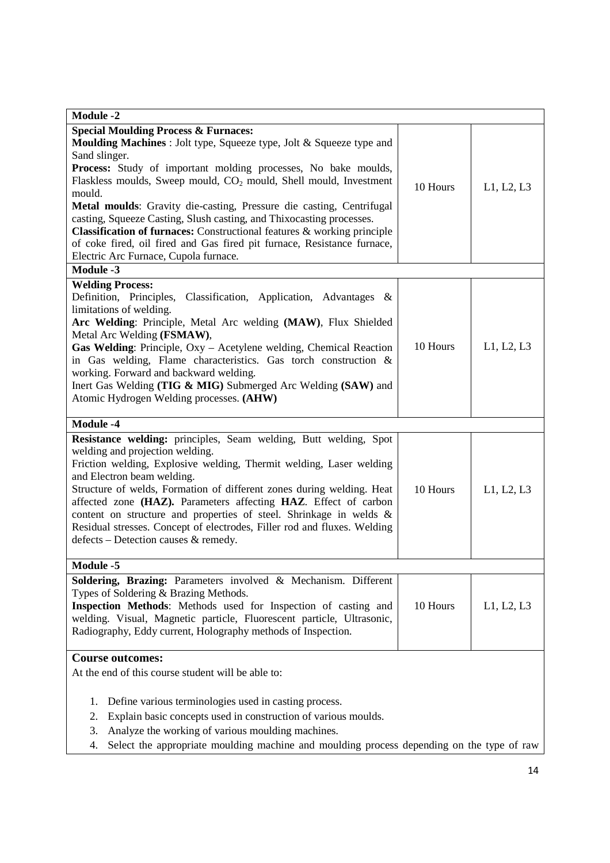| <b>Module -2</b>                                                                                                                                                                                                                                                                                                                                                                                                                                                                                                                                                                                                                                     |          |            |
|------------------------------------------------------------------------------------------------------------------------------------------------------------------------------------------------------------------------------------------------------------------------------------------------------------------------------------------------------------------------------------------------------------------------------------------------------------------------------------------------------------------------------------------------------------------------------------------------------------------------------------------------------|----------|------------|
| <b>Special Moulding Process &amp; Furnaces:</b><br>Moulding Machines : Jolt type, Squeeze type, Jolt & Squeeze type and<br>Sand slinger.<br>Process: Study of important molding processes, No bake moulds,<br>Flaskless moulds, Sweep mould, CO <sub>2</sub> mould, Shell mould, Investment<br>mould.<br>Metal moulds: Gravity die-casting, Pressure die casting, Centrifugal<br>casting, Squeeze Casting, Slush casting, and Thixocasting processes.<br>Classification of furnaces: Constructional features & working principle<br>of coke fired, oil fired and Gas fired pit furnace, Resistance furnace,<br>Electric Arc Furnace, Cupola furnace. | 10 Hours | L1, L2, L3 |
| <b>Module -3</b>                                                                                                                                                                                                                                                                                                                                                                                                                                                                                                                                                                                                                                     |          |            |
| <b>Welding Process:</b><br>Definition, Principles, Classification, Application, Advantages &<br>limitations of welding.<br>Arc Welding: Principle, Metal Arc welding (MAW), Flux Shielded<br>Metal Arc Welding (FSMAW),<br>Gas Welding: Principle, Oxy - Acetylene welding, Chemical Reaction<br>in Gas welding, Flame characteristics. Gas torch construction &<br>working. Forward and backward welding.<br>Inert Gas Welding (TIG & MIG) Submerged Arc Welding (SAW) and<br>Atomic Hydrogen Welding processes. (AHW)                                                                                                                              | 10 Hours | L1, L2, L3 |
| Module -4                                                                                                                                                                                                                                                                                                                                                                                                                                                                                                                                                                                                                                            |          |            |
| Resistance welding: principles, Seam welding, Butt welding, Spot<br>welding and projection welding.<br>Friction welding, Explosive welding, Thermit welding, Laser welding<br>and Electron beam welding.<br>Structure of welds, Formation of different zones during welding. Heat<br>affected zone (HAZ). Parameters affecting HAZ. Effect of carbon<br>content on structure and properties of steel. Shrinkage in welds &<br>Residual stresses. Concept of electrodes, Filler rod and fluxes. Welding<br>defects – Detection causes & remedy.                                                                                                       | 10 Hours | L1, L2, L3 |
| Module -5                                                                                                                                                                                                                                                                                                                                                                                                                                                                                                                                                                                                                                            |          |            |
| Soldering, Brazing: Parameters involved & Mechanism. Different<br>Types of Soldering & Brazing Methods.<br>Inspection Methods: Methods used for Inspection of casting and<br>welding. Visual, Magnetic particle, Fluorescent particle, Ultrasonic,<br>Radiography, Eddy current, Holography methods of Inspection.                                                                                                                                                                                                                                                                                                                                   | 10 Hours | L1, L2, L3 |
| <b>Course outcomes:</b>                                                                                                                                                                                                                                                                                                                                                                                                                                                                                                                                                                                                                              |          |            |
| At the end of this course student will be able to:<br>Define various terminologies used in casting process.<br>1.<br>Explain basic concepts used in construction of various moulds.<br>2.<br>Analyze the working of various moulding machines.<br>3.<br>Select the appropriate moulding machine and moulding process depending on the type of raw<br>4.                                                                                                                                                                                                                                                                                              |          |            |
|                                                                                                                                                                                                                                                                                                                                                                                                                                                                                                                                                                                                                                                      |          |            |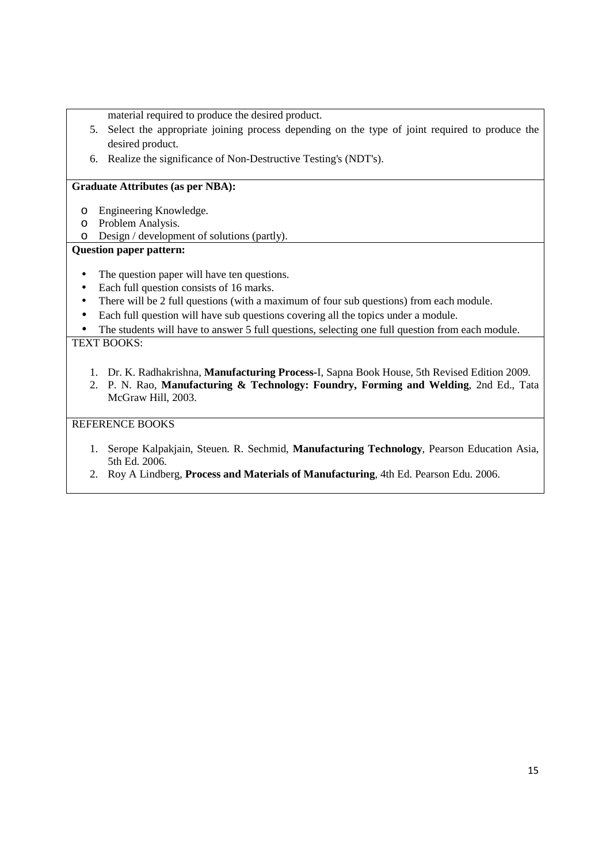material required to produce the desired product.

- 5. Select the appropriate joining process depending on the type of joint required to produce the desired product.
- 6. Realize the significance of Non-Destructive Testing's (NDT's).

### **Graduate Attributes (as per NBA):**

- o Engineering Knowledge.
- o Problem Analysis.
- o Design / development of solutions (partly).

### **Question paper pattern:**

- The question paper will have ten questions.
- Each full question consists of 16 marks.
- There will be 2 full questions (with a maximum of four sub questions) from each module.
- Each full question will have sub questions covering all the topics under a module.

The students will have to answer 5 full questions, selecting one full question from each module. TEXT BOOKS:

- 1. Dr. K. Radhakrishna, **Manufacturing Process-**I, Sapna Book House, 5th Revised Edition 2009.
- 2. P. N. Rao, **Manufacturing & Technology: Foundry, Forming and Welding**, 2nd Ed., Tata McGraw Hill, 2003.

- 1. Serope Kalpakjain, Steuen. R. Sechmid, **Manufacturing Technology**, Pearson Education Asia, 5th Ed. 2006.
- 2. Roy A Lindberg, **Process and Materials of Manufacturing**, 4th Ed. Pearson Edu. 2006.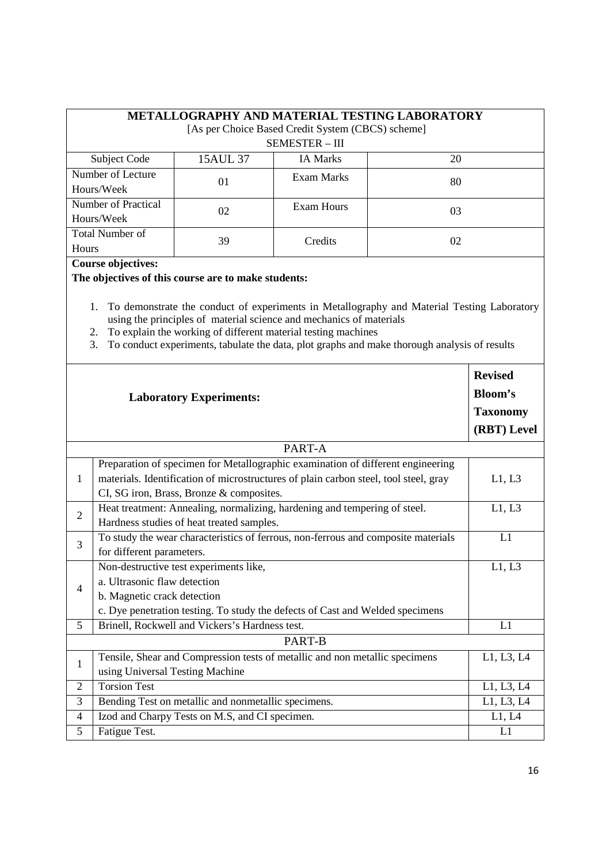| METALLOGRAPHY AND MATERIAL TESTING LABORATORY     |          |                 |    |  |
|---------------------------------------------------|----------|-----------------|----|--|
| [As per Choice Based Credit System (CBCS) scheme] |          |                 |    |  |
| SEMESTER - III                                    |          |                 |    |  |
| Subject Code                                      | 15AUL 37 | <b>IA Marks</b> | 20 |  |
| Number of Lecture                                 | $\Omega$ | Exam Marks      | 80 |  |
| Hours/Week                                        |          |                 |    |  |
| Number of Practical                               | 02       | Exam Hours      | 03 |  |
| Hours/Week                                        |          |                 |    |  |
| <b>Total Number of</b>                            | 39       | Credits         | 02 |  |
| Hours                                             |          |                 |    |  |

**Course objectives:** 

**The objectives of this course are to make students:**

1. To demonstrate the conduct of experiments in Metallography and Material Testing Laboratory using the principles of material science and mechanics of materials

- 2. To explain the working of different material testing machines
- 3. To conduct experiments, tabulate the data, plot graphs and make thorough analysis of results

|                | <b>Laboratory Experiments:</b>                                                                                                                                                                                      | <b>Revised</b><br><b>Bloom's</b><br><b>Taxonomy</b><br>(RBT) Level |  |
|----------------|---------------------------------------------------------------------------------------------------------------------------------------------------------------------------------------------------------------------|--------------------------------------------------------------------|--|
|                | PART-A                                                                                                                                                                                                              |                                                                    |  |
| 1              | Preparation of specimen for Metallographic examination of different engineering<br>materials. Identification of microstructures of plain carbon steel, tool steel, gray<br>CI, SG iron, Brass, Bronze & composites. | L1, L3                                                             |  |
| $\overline{2}$ | Heat treatment: Annealing, normalizing, hardening and tempering of steel.<br>Hardness studies of heat treated samples.                                                                                              | L1, L3                                                             |  |
| 3              | To study the wear characteristics of ferrous, non-ferrous and composite materials<br>for different parameters.                                                                                                      | L1                                                                 |  |
| $\overline{4}$ | Non-destructive test experiments like,<br>a. Ultrasonic flaw detection<br>b. Magnetic crack detection<br>c. Dye penetration testing. To study the defects of Cast and Welded specimens                              | L1, L3                                                             |  |
| 5              | Brinell, Rockwell and Vickers's Hardness test.                                                                                                                                                                      | L1                                                                 |  |
| PART-B         |                                                                                                                                                                                                                     |                                                                    |  |
| $\mathbf{1}$   | Tensile, Shear and Compression tests of metallic and non metallic specimens<br>using Universal Testing Machine                                                                                                      | L1, L3, L4                                                         |  |
| $\overline{2}$ | <b>Torsion Test</b>                                                                                                                                                                                                 | L1, L3, L4                                                         |  |
| 3              | Bending Test on metallic and nonmetallic specimens.                                                                                                                                                                 | L1, L3, L4                                                         |  |
| $\overline{4}$ | Izod and Charpy Tests on M.S, and CI specimen.                                                                                                                                                                      | L1, L4                                                             |  |
| 5              | Fatigue Test.                                                                                                                                                                                                       | L1                                                                 |  |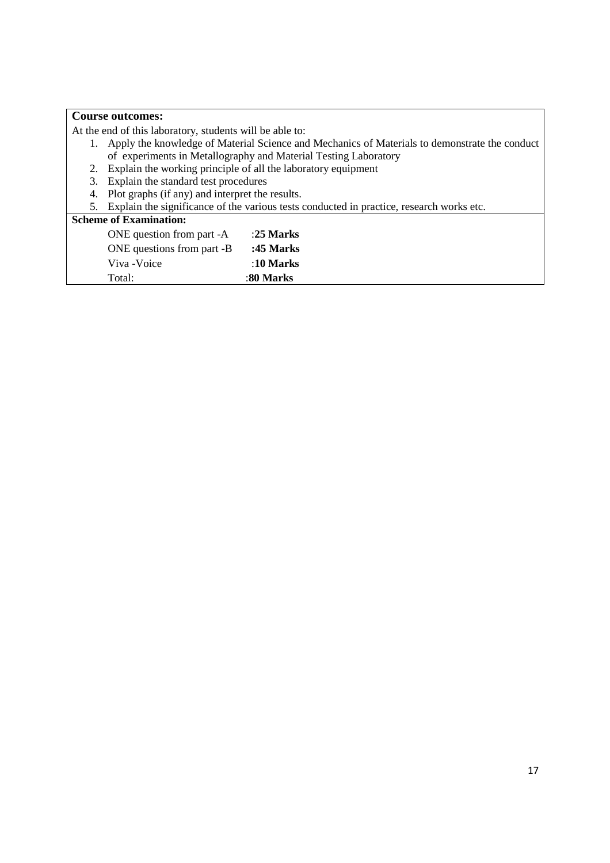|    | <b>Course outcomes:</b>                                                                          |           |  |  |
|----|--------------------------------------------------------------------------------------------------|-----------|--|--|
|    | At the end of this laboratory, students will be able to:                                         |           |  |  |
|    | 1. Apply the knowledge of Material Science and Mechanics of Materials to demonstrate the conduct |           |  |  |
|    | of experiments in Metallography and Material Testing Laboratory                                  |           |  |  |
|    | 2. Explain the working principle of all the laboratory equipment                                 |           |  |  |
|    | 3. Explain the standard test procedures                                                          |           |  |  |
| 4. | Plot graphs (if any) and interpret the results.                                                  |           |  |  |
| 5. | Explain the significance of the various tests conducted in practice, research works etc.         |           |  |  |
|    | <b>Scheme of Examination:</b>                                                                    |           |  |  |
|    | ONE question from part -A                                                                        | :25 Marks |  |  |
|    | ONE questions from part -B                                                                       | :45 Marks |  |  |
|    | Viva - Voice                                                                                     | :10 Marks |  |  |
|    | Total:                                                                                           | :80 Marks |  |  |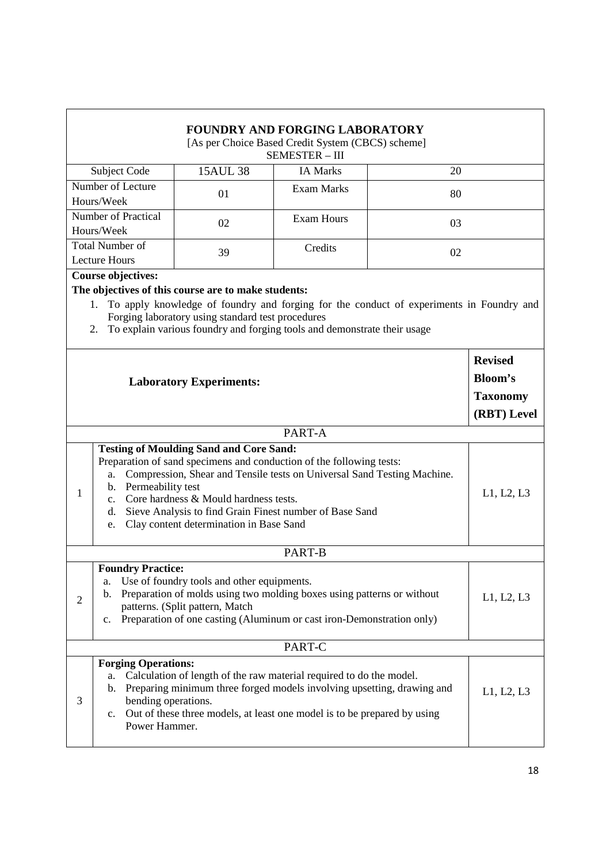| <b>FOUNDRY AND FORGING LABORATORY</b>                                                                                                                                                                                                                                                                                                                                                           |                                                                          |                                                                                                                                                                                                                                 |                 |    |                 |
|-------------------------------------------------------------------------------------------------------------------------------------------------------------------------------------------------------------------------------------------------------------------------------------------------------------------------------------------------------------------------------------------------|--------------------------------------------------------------------------|---------------------------------------------------------------------------------------------------------------------------------------------------------------------------------------------------------------------------------|-----------------|----|-----------------|
| [As per Choice Based Credit System (CBCS) scheme]<br><b>SEMESTER - III</b>                                                                                                                                                                                                                                                                                                                      |                                                                          |                                                                                                                                                                                                                                 |                 |    |                 |
|                                                                                                                                                                                                                                                                                                                                                                                                 | Subject Code                                                             | <b>15AUL 38</b>                                                                                                                                                                                                                 | <b>IA Marks</b> | 20 |                 |
| Number of Lecture<br><b>Exam Marks</b><br>01<br>80<br>Hours/Week                                                                                                                                                                                                                                                                                                                                |                                                                          |                                                                                                                                                                                                                                 |                 |    |                 |
| <b>Number of Practical</b><br><b>Exam Hours</b><br>02<br>03<br>Hours/Week                                                                                                                                                                                                                                                                                                                       |                                                                          |                                                                                                                                                                                                                                 |                 |    |                 |
|                                                                                                                                                                                                                                                                                                                                                                                                 | <b>Total Number of</b><br>Credits<br>39<br>02<br><b>Lecture Hours</b>    |                                                                                                                                                                                                                                 |                 |    |                 |
|                                                                                                                                                                                                                                                                                                                                                                                                 | <b>Course objectives:</b>                                                |                                                                                                                                                                                                                                 |                 |    |                 |
|                                                                                                                                                                                                                                                                                                                                                                                                 |                                                                          | The objectives of this course are to make students:                                                                                                                                                                             |                 |    |                 |
| To apply knowledge of foundry and forging for the conduct of experiments in Foundry and<br>1.<br>Forging laboratory using standard test procedures<br>To explain various foundry and forging tools and demonstrate their usage<br>2.                                                                                                                                                            |                                                                          |                                                                                                                                                                                                                                 |                 |    |                 |
|                                                                                                                                                                                                                                                                                                                                                                                                 |                                                                          |                                                                                                                                                                                                                                 |                 |    | <b>Revised</b>  |
| <b>Laboratory Experiments:</b>                                                                                                                                                                                                                                                                                                                                                                  |                                                                          | Bloom's                                                                                                                                                                                                                         |                 |    |                 |
|                                                                                                                                                                                                                                                                                                                                                                                                 |                                                                          |                                                                                                                                                                                                                                 |                 |    |                 |
|                                                                                                                                                                                                                                                                                                                                                                                                 |                                                                          |                                                                                                                                                                                                                                 |                 |    | <b>Taxonomy</b> |
|                                                                                                                                                                                                                                                                                                                                                                                                 |                                                                          |                                                                                                                                                                                                                                 |                 |    | (RBT) Level     |
|                                                                                                                                                                                                                                                                                                                                                                                                 |                                                                          |                                                                                                                                                                                                                                 | PART-A          |    |                 |
| <b>Testing of Moulding Sand and Core Sand:</b><br>Preparation of sand specimens and conduction of the following tests:<br>Compression, Shear and Tensile tests on Universal Sand Testing Machine.<br>a.<br>b. Permeability test<br>1<br>c. Core hardness & Mould hardness tests.<br>d. Sieve Analysis to find Grain Finest number of Base Sand<br>Clay content determination in Base Sand<br>e. |                                                                          | L1, L2, L3                                                                                                                                                                                                                      |                 |    |                 |
| PART-B                                                                                                                                                                                                                                                                                                                                                                                          |                                                                          |                                                                                                                                                                                                                                 |                 |    |                 |
|                                                                                                                                                                                                                                                                                                                                                                                                 | <b>Foundry Practice:</b>                                                 |                                                                                                                                                                                                                                 |                 |    |                 |
| Use of foundry tools and other equipments.<br>a.<br>Preparation of molds using two molding boxes using patterns or without<br>b.<br>$\mathfrak{2}$<br>patterns. (Split pattern, Match<br>Preparation of one casting (Aluminum or cast iron-Demonstration only)<br>$\mathbf{c}$ .                                                                                                                |                                                                          | L1, L2, L3                                                                                                                                                                                                                      |                 |    |                 |
| PART-C                                                                                                                                                                                                                                                                                                                                                                                          |                                                                          |                                                                                                                                                                                                                                 |                 |    |                 |
| 3                                                                                                                                                                                                                                                                                                                                                                                               | <b>Forging Operations:</b><br>a.<br>bending operations.<br>Power Hammer. | Calculation of length of the raw material required to do the model.<br>b. Preparing minimum three forged models involving upsetting, drawing and<br>c. Out of these three models, at least one model is to be prepared by using |                 |    | L1, L2, L3      |